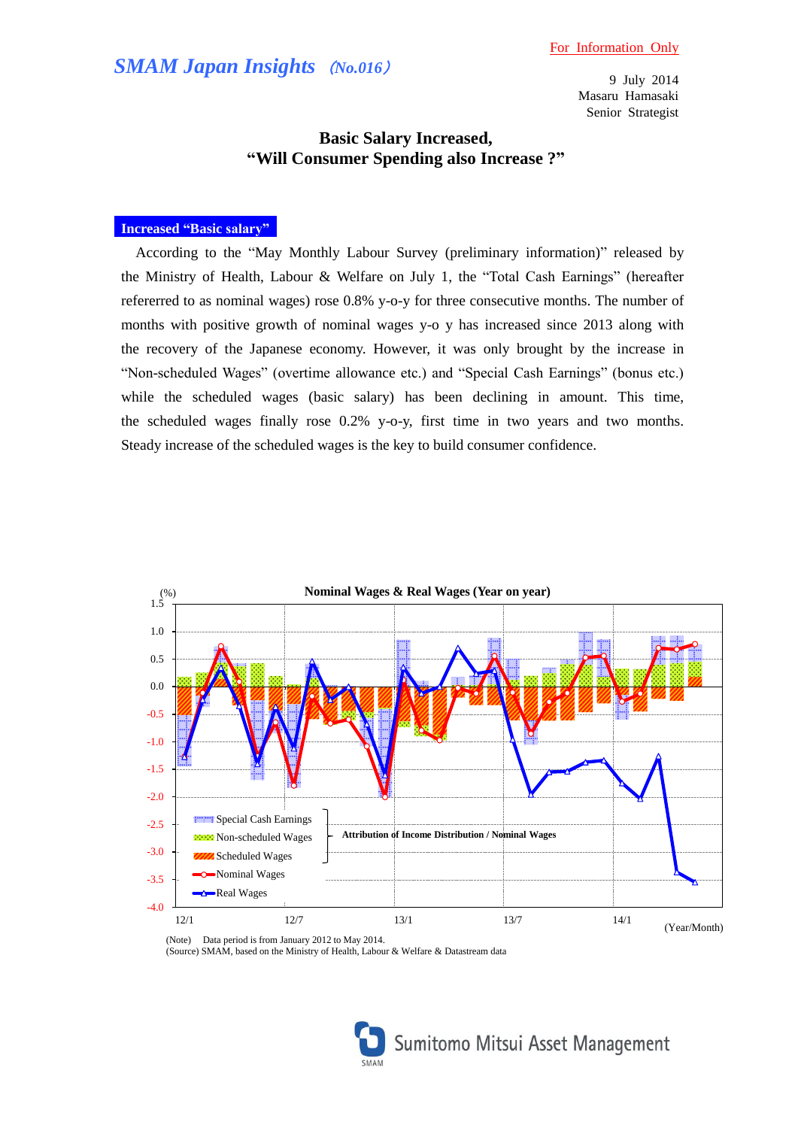# *SMAM Japan Insights* (*No.016*)

9 July 2014 Masaru Hamasaki Senior Strategist

## **Basic Salary Increased, "Will Consumer Spending also Increase ?"**

### **Increased "Basic salary"**

According to the "May Monthly Labour Survey (preliminary information)" released by the Ministry of Health, Labour & Welfare on July 1, the "Total Cash Earnings" (hereafter refererred to as nominal wages) rose 0.8% y-o-y for three consecutive months. The number of months with positive growth of nominal wages y-o y has increased since 2013 along with the recovery of the Japanese economy. However, it was only brought by the increase in "Non-scheduled Wages" (overtime allowance etc.) and "Special Cash Earnings" (bonus etc.) while the scheduled wages (basic salary) has been declining in amount. This time, the scheduled wages finally rose 0.2% y-o-y, first time in two years and two months. Steady increase of the scheduled wages is the key to build consumer confidence.



(Note) Data period is from January 2012 to May 2014. (Source) SMAM, based on the Ministry of Health, Labour & Welfare & Datastream data

Sumitomo Mitsui Asset Management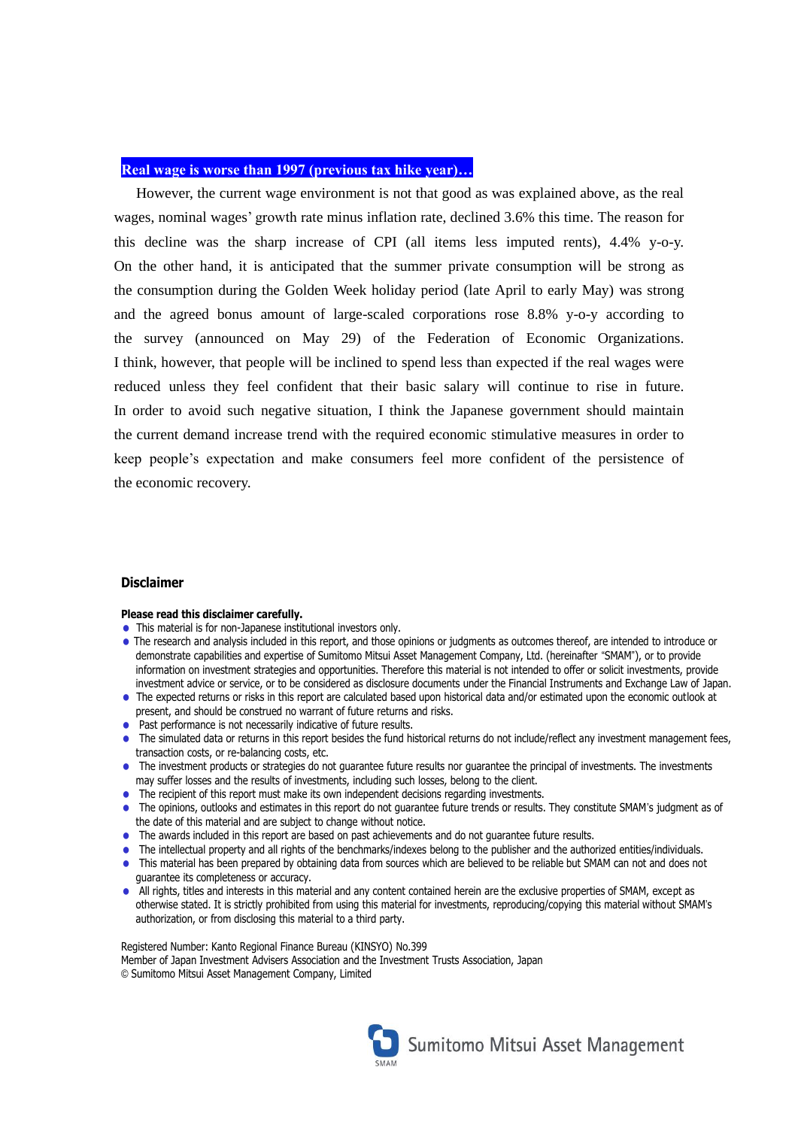### **Real wage is worse than 1997 (previous tax hike year)…**

However, the current wage environment is not that good as was explained above, as the real wages, nominal wages' growth rate minus inflation rate, declined 3.6% this time. The reason for this decline was the sharp increase of CPI (all items less imputed rents), 4.4% y-o-y. On the other hand, it is anticipated that the summer private consumption will be strong as the consumption during the Golden Week holiday period (late April to early May) was strong and the agreed bonus amount of large-scaled corporations rose 8.8% y-o-y according to the survey (announced on May 29) of the [Federation of](http://ejje.weblio.jp/content/Federation+of) [Economic](http://ejje.weblio.jp/content/Economic) Organizations. I think, however, that people will be inclined to spend less than expected if the real wages were reduced unless they feel confident that their basic salary will continue to rise in future. In order to avoid such negative situation, I think the Japanese government should maintain the current demand increase trend with the required economic stimulative measures in order to keep people's expectation and make consumers feel more confident of the persistence of the economic recovery.

#### **Disclaimer**

#### **Please read this disclaimer carefully.**

- This material is for non-Japanese institutional investors only.
- = The research and analysis included in this report, and those opinions or judgments as outcomes thereof, are intended to introduce or demonstrate capabilities and expertise of Sumitomo Mitsui Asset Management Company, Ltd. (hereinafter "SMAM"), or to provide information on investment strategies and opportunities. Therefore this material is not intended to offer or solicit investments, provide investment advice or service, or to be considered as disclosure documents under the Financial Instruments and Exchange Law of Japan.
- = The expected returns or risks in this report are calculated based upon historical data and/or estimated upon the economic outlook at present, and should be construed no warrant of future returns and risks.
- Past performance is not necessarily indicative of future results.
- The simulated data or returns in this report besides the fund historical returns do not include/reflect any investment management fees, transaction costs, or re-balancing costs, etc.
- The investment products or strategies do not guarantee future results nor guarantee the principal of investments. The investments may suffer losses and the results of investments, including such losses, belong to the client.
- The recipient of this report must make its own independent decisions regarding investments.
- The opinions, outlooks and estimates in this report do not guarantee future trends or results. They constitute SMAM's judgment as of the date of this material and are subject to change without notice.
- = The awards included in this report are based on past achievements and do not guarantee future results.
- The intellectual property and all rights of the benchmarks/indexes belong to the publisher and the authorized entities/individuals.
- = This material has been prepared by obtaining data from sources which are believed to be reliable but SMAM can not and does not guarantee its completeness or accuracy.
- All rights, titles and interests in this material and any content contained herein are the exclusive properties of SMAM, except as otherwise stated. It is strictly prohibited from using this material for investments, reproducing/copying this material without SMAM's authorization, or from disclosing this material to a third party.

Registered Number: Kanto Regional Finance Bureau (KINSYO) No.399 Member of Japan Investment Advisers Association and the Investment Trusts Association, Japan © Sumitomo Mitsui Asset Management Company, Limited